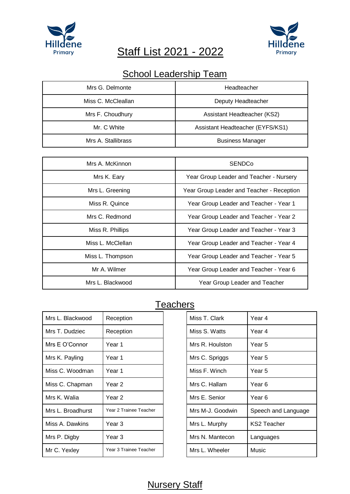

# Staff List 2021 - 2022



## School Leadership Team

| Mrs G. Delmonte    | Headteacher                      |
|--------------------|----------------------------------|
| Miss C. McCleallan | Deputy Headteacher               |
| Mrs F. Choudhury   | Assistant Headteacher (KS2)      |
| Mr. C White        | Assistant Headteacher (EYFS/KS1) |
| Mrs A. Stallibrass | <b>Business Manager</b>          |

| Mrs A. McKinnon   | <b>SENDCo</b>                             |
|-------------------|-------------------------------------------|
| Mrs K. Eary       | Year Group Leader and Teacher - Nursery   |
| Mrs L. Greening   | Year Group Leader and Teacher - Reception |
| Miss R. Quince    | Year Group Leader and Teacher - Year 1    |
| Mrs C. Redmond    | Year Group Leader and Teacher - Year 2    |
| Miss R. Phillips  | Year Group Leader and Teacher - Year 3    |
| Miss L. McClellan | Year Group Leader and Teacher - Year 4    |
| Miss L. Thompson  | Year Group Leader and Teacher - Year 5    |
| Mr A. Wilmer      | Year Group Leader and Teacher - Year 6    |
| Mrs L. Blackwood  | Year Group Leader and Teacher             |

#### **Teachers**

| Mrs L. Blackwood  | Reception              | Miss T. Clark    | Year 4             |
|-------------------|------------------------|------------------|--------------------|
| Mrs T. Dudziec    | Reception              | Miss S. Watts    | Year 4             |
| Mrs E O'Connor    | Year 1                 | Mrs R. Houlston  | Year 5             |
| Mrs K. Payling    | Year 1                 | Mrs C. Spriggs   | Year 5             |
| Miss C. Woodman   | Year 1                 | Miss F. Winch    | Year 5             |
| Miss C. Chapman   | Year 2                 | Mrs C. Hallam    | Year 6             |
| Mrs K. Walia      | Year 2                 | Mrs E. Senior    | Year 6             |
| Mrs L. Broadhurst | Year 2 Trainee Teacher | Mrs M-J. Goodwin | Speech and I       |
| Miss A. Dawkins   | Year 3                 | Mrs L. Murphy    | <b>KS2 Teacher</b> |
| Mrs P. Digby      | Year 3                 | Mrs N. Mantecon  | Languages          |
| Mr C. Yexley      | Year 3 Trainee Teacher | Mrs L. Wheeler   | Music              |

| Reception              | Miss T. Clark    | Year 4              |
|------------------------|------------------|---------------------|
| Reception              | Miss S. Watts    | Year 4              |
| Year 1                 | Mrs R. Houlston  | Year <sub>5</sub>   |
| Year 1                 | Mrs C. Spriggs   | Year <sub>5</sub>   |
| Year 1                 | Miss F. Winch    | Year 5              |
| Year <sub>2</sub>      | Mrs C. Hallam    | Year <sub>6</sub>   |
| Year <sub>2</sub>      | Mrs E. Senior    | Year 6              |
| Year 2 Trainee Teacher | Mrs M-J. Goodwin | Speech and Language |
| Year <sub>3</sub>      | Mrs L. Murphy    | <b>KS2 Teacher</b>  |
| Year 3                 | Mrs N. Mantecon  | Languages           |
| Year 3 Trainee Teacher | Mrs L. Wheeler   | Music               |
|                        |                  |                     |

#### **Nursery Staff**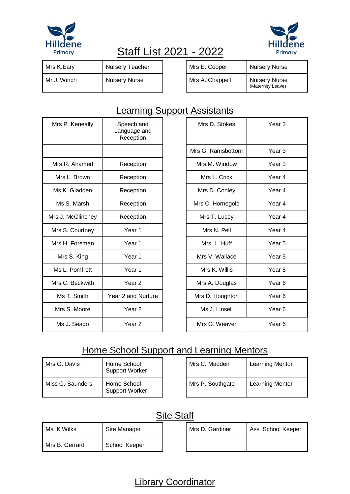



# Staff List 2021 - 2022

| Mrs K.Eary  | Nursery Teacher      | Mrs E. Cooper   | <b>Nursery Nurse</b>                      |
|-------------|----------------------|-----------------|-------------------------------------------|
| Mr J. Winch | <b>Nursery Nurse</b> | Mrs A. Chappell | <b>Nursery Nurse</b><br>(Maternity Leave) |

| Mrs E. Cooper   | <b>Nursery Nurse</b>               |
|-----------------|------------------------------------|
| Mrs A. Chappell | Nursery Nurse<br>(Maternity Leave) |

#### **Learning Support Assistants**

| Mrs P. Keneally   | Speech and<br>Language and<br>Reception | Mrs D. Stokes     | Year <sub>3</sub> |
|-------------------|-----------------------------------------|-------------------|-------------------|
|                   |                                         | Mrs G. Ramsbottom | Year <sub>3</sub> |
| Mrs R. Ahamed     | Reception                               | Mrs M. Window     | Year <sub>3</sub> |
| Mrs L. Brown      | Reception                               | Mrs L. Crick      | Year <sub>4</sub> |
| Ms K. Gladden     | Reception                               | Mrs D. Conley     | Year <sub>4</sub> |
| Ms S. Marsh       | Reception                               | Mrs C. Hornegold  | Year <sub>4</sub> |
| Mrs J. McGlinchey | Reception                               | Mrs T. Lucey      | Year <sub>4</sub> |
| Mrs S. Courtney   | Year 1                                  | Mrs N. Pell       | Year 4            |
| Mrs H. Foreman    | Year 1                                  | Mrs L. Huff       | Year <sub>5</sub> |
| Mrs S. King       | Year 1                                  | Mrs V. Wallace    | Year <sub>5</sub> |
| Ms L. Pomfrett    | Year 1                                  | Mrs K. Willis     | Year <sub>5</sub> |
| Mrs C. Beckwith   | Year <sub>2</sub>                       | Mrs A. Douglas    | Year <sub>6</sub> |
| Ms T. Smith       | Year 2 and Nurture                      | Mrs D. Houghton   | Year <sub>6</sub> |
| Mrs S. Moore      | Year <sub>2</sub>                       | Ms J. Linsell     | Year <sub>6</sub> |
| Ms J. Seago       | Year <sub>2</sub>                       | Mrs G. Weaver     | Year <sub>6</sub> |

| Mrs D. Stokes     | Year 3 |
|-------------------|--------|
| Mrs G. Ramsbottom | Year 3 |
| Mrs M. Window     | Year 3 |
| Mrs L. Crick      | Year 4 |
| Mrs D. Conley     | Year 4 |
| Mrs C. Hornegold  | Year 4 |
| Mrs T. Lucey      | Year 4 |
| Mrs N Pell        | Year 4 |
| Mrs L. Huff       | Year 5 |
| Mrs V. Wallace    | Year 5 |
| Mrs K. Willis     | Year 5 |
| Mrs A. Douglas    | Year 6 |
| Mrs D. Houghton   | Year 6 |
| Ms J. Linsell     | Year 6 |
| Mrs G. Weaver     | Year 6 |

#### Home School Support and Learning Mentors

| Mrs G. Davis     | Home School<br>Support Worker |
|------------------|-------------------------------|
| Miss G. Saunders | Home School<br>Support Worker |

| Mrs C. Madden    | Learning Mentor |
|------------------|-----------------|
| Mrs P. Southgate | Learning Mentor |

#### **Site Staff**

| Ms. K Wilks      | Site Manager  | Mrs D. Gardiner | Ass. School Keeper |
|------------------|---------------|-----------------|--------------------|
| I Mrs B. Gerrard | School Keeper |                 |                    |

### Library Coordinator